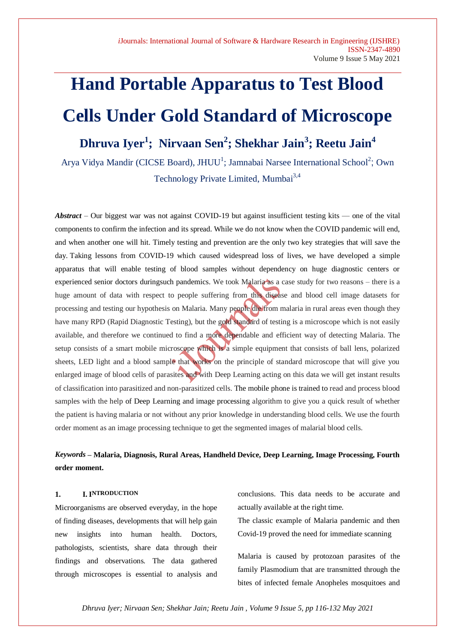# **Hand Portable Apparatus to Test Blood Cells Under Gold Standard of Microscope**

# **Dhruva Iyer<sup>1</sup> ; Nirvaan Sen<sup>2</sup> ; Shekhar Jain<sup>3</sup> ; Reetu Jain<sup>4</sup>**

Arya Vidya Mandir (CICSE Board), JHUU<sup>1</sup>; Jamnabai Narsee International School<sup>2</sup>; Own Technology Private Limited, Mumbai<sup>3,4</sup>

*Abstract* – Our biggest war was not against COVID-19 but against insufficient testing kits — one of the vital components to confirm the infection and its spread. While we do not know when the COVID pandemic will end, and when another one will hit. Timely testing and prevention are the only two key strategies that will save the day. Taking lessons from COVID-19 which caused widespread loss of lives, we have developed a simple apparatus that will enable testing of blood samples without dependency on huge diagnostic centers or experienced senior doctors duringsuch pandemics. We took Malaria as a case study for two reasons – there is a huge amount of data with respect to people suffering from this disease and blood cell image datasets for processing and testing our hypothesis on Malaria. Many people die from malaria in rural areas even though they have many RPD (Rapid Diagnostic Testing), but the gold standard of testing is a microscope which is not easily available, and therefore we continued to find a more dependable and efficient way of detecting Malaria. The setup consists of a smart mobile microscope which is a simple equipment that consists of ball lens, polarized sheets, LED light and a blood sample that works on the principle of standard microscope that will give you enlarged image of blood cells of parasites and with Deep Learning acting on this data we will get instant results of classification into parasitized and non-parasitized cells. The mobile phone is trained to read and process blood samples with the help of Deep Learning and image processing algorithm to give you a quick result of whether the patient is having malaria or not without any prior knowledge in understanding blood cells. We use the fourth order moment as an image processing technique to get the segmented images of malarial blood cells.

# *Keywords* **– Malaria, Diagnosis, Rural Areas, Handheld Device, Deep Learning, Image Processing, Fourth order moment.**

#### **1. I. INTRODUCTION**

Microorganisms are observed everyday, in the hope of finding diseases, developments that will help gain new insights into human health. Doctors, pathologists, scientists, share data through their findings and observations. The data gathered through microscopes is essential to analysis and

conclusions. This data needs to be accurate and actually available at the right time.

The classic example of Malaria pandemic and then Covid-19 proved the need for immediate scanning

Malaria is caused by protozoan parasites of the family Plasmodium that are transmitted through the bites of infected female Anopheles mosquitoes and

*Dhruva Iyer; Nirvaan Sen; Shekhar Jain; Reetu Jain , Volume 9 Issue 5, pp 116-132 May 2021*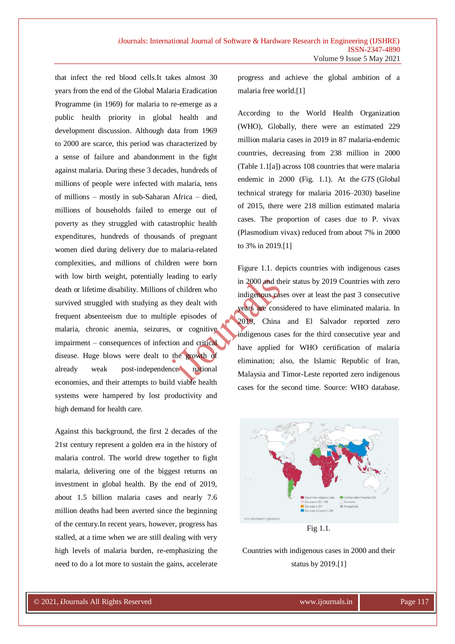that infect the red blood cells.It takes almost 30 years from the end of the Global Malaria Eradication Programme (in 1969) for malaria to re-emerge as a public health priority in global health and development discussion. Although data from 1969 to 2000 are scarce, this period was characterized by a sense of failure and abandonment in the fight against malaria. During these 3 decades, hundreds of millions of people were infected with malaria, tens of millions – mostly in sub-Saharan Africa – died, millions of households failed to emerge out of poverty as they struggled with catastrophic health expenditures, hundreds of thousands of pregnant women died during delivery due to malaria-related complexities, and millions of children were born with low birth weight, potentially leading to early death or lifetime disability. Millions of children who survived struggled with studying as they dealt with frequent absenteeism due to multiple episodes of malaria, chronic anemia, seizures, or cognitive impairment – consequences of infection and critical disease. Huge blows were dealt to the growth of already weak post-independence national economies, and their attempts to build viable health systems were hampered by lost productivity and high demand for health care.

Against this background, the first 2 decades of the 21st century represent a golden era in the history of malaria control. The world drew together to fight malaria, delivering one of the biggest returns on investment in global health. By the end of 2019, about 1.5 billion malaria cases and nearly 7.6 million deaths had been averted since the beginning of the century.In recent years, however, progress has stalled, at a time when we are still dealing with very high levels of malaria burden, re-emphasizing the need to do a lot more to sustain the gains, accelerate

progress and achieve the global ambition of a malaria free world.[1]

According to the World Health Organization (WHO), Globally, there were an estimated 229 million malaria cases in 2019 in 87 malaria-endemic countries, decreasing from 238 million in 2000 (Table 1.1[a]) across 108 countries that were malaria endemic in 2000 (Fig. 1.1). At the *GTS* (Global technical strategy for malaria 2016–2030) baseline of 2015, there were 218 million estimated malaria cases. The proportion of cases due to P. vivax (Plasmodium vivax) reduced from about 7% in 2000 to 3% in 2019.[1]

Figure 1.1. depicts countries with indigenous cases in 2000 and their status by 2019 Countries with zero indigenous cases over at least the past 3 consecutive years are considered to have eliminated malaria. In 2019, China and El Salvador reported zero indigenous cases for the third consecutive year and have applied for WHO certification of malaria elimination; also, the Islamic Republic of Iran, Malaysia and Timor-Leste reported zero indigenous cases for the second time. Source: WHO database.



Fig 1.1.

Countries with indigenous cases in 2000 and their status by 2019.[1]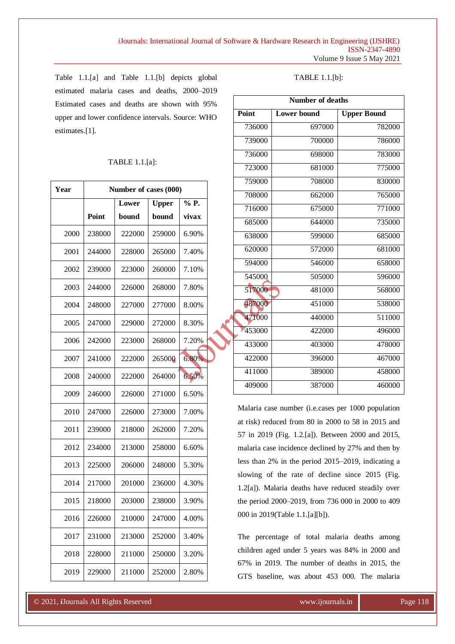Table 1.1.[a] and Table 1.1.[b] depicts global estimated malaria cases and deaths, 2000–2019 Estimated cases and deaths are shown with 95% upper and lower confidence intervals. Source: WHO estimates.[1].

#### TABLE 1.1.[a]:

| Year | Number of cases (000) |        |              |       |
|------|-----------------------|--------|--------------|-------|
|      |                       | Lower  | <b>Upper</b> | % P.  |
|      | Point                 | bound  | bound        | vivax |
| 2000 | 238000                | 222000 | 259000       | 6.90% |
| 2001 | 244000                | 228000 | 265000       | 7.40% |
| 2002 | 239000                | 223000 | 260000       | 7.10% |
| 2003 | 244000                | 226000 | 268000       | 7.80% |
| 2004 | 248000                | 227000 | 277000       | 8.00% |
| 2005 | 247000                | 229000 | 272000       | 8.30% |
| 2006 | 242000                | 223000 | 268000       | 7.20% |
| 2007 | 241000                | 222000 | 265000       | 6.80% |
| 2008 | 240000                | 222000 | 264000       | 6.50% |
| 2009 | 246000                | 226000 | 271000       | 6.50% |
| 2010 | 247000                | 226000 | 273000       | 7.00% |
| 2011 | 239000                | 218000 | 262000       | 7.20% |
| 2012 | 234000                | 213000 | 258000       | 6.60% |
| 2013 | 225000                | 206000 | 248000       | 5.30% |
| 2014 | 217000                | 201000 | 236000       | 4.30% |
| 2015 | 218000                | 203000 | 238000       | 3.90% |
| 2016 | 226000                | 210000 | 247000       | 4.00% |
| 2017 | 231000                | 213000 | 252000       | 3.40% |
| 2018 | 228000                | 211000 | 250000       | 3.20% |
| 2019 | 229000                | 211000 | 252000       | 2.80% |

#### TABLE 1.1.[b]:

| <b>Number of deaths</b> |                    |                    |  |  |
|-------------------------|--------------------|--------------------|--|--|
| Point                   | <b>Lower</b> bound | <b>Upper Bound</b> |  |  |
| 736000                  | 697000             | 782000             |  |  |
| 739000                  | 700000             | 786000             |  |  |
| 736000                  | 698000             | 783000             |  |  |
| 723000                  | 681000             | 775000             |  |  |
| 759000                  | 708000             | 830000             |  |  |
| 708000                  | 662000             | 765000             |  |  |
| 716000                  | 675000             | 771000             |  |  |
| 685000                  | 644000             | 735000             |  |  |
| 638000                  | 599000             | 685000             |  |  |
| 620000                  | 572000             | 681000             |  |  |
| 594000                  | 546000             | 658000             |  |  |
| 545000                  | 505000             | 596000             |  |  |
| 517000                  | 481000             | 568000             |  |  |
| 487000                  | 451000             | 538000             |  |  |
| 471000                  | 440000             | 511000             |  |  |
| 453000                  | 422000             | 496000             |  |  |
| 433000                  | 403000             | 478000             |  |  |
| 422000                  | 396000             | 467000             |  |  |
| 411000                  | 389000             | 458000             |  |  |
| 409000                  | 387000             | 460000             |  |  |

Malaria case number (i.e.cases per 1000 population at risk) reduced from 80 in 2000 to 58 in 2015 and 57 in 2019 (Fig. 1.2.[a]). Between 2000 and 2015, malaria case incidence declined by 27% and then by less than 2% in the period 2015–2019, indicating a slowing of the rate of decline since 2015 (Fig. 1.2[a]). Malaria deaths have reduced steadily over the period 2000–2019, from 736 000 in 2000 to 409 000 in 2019(Table 1.1.[a][b]).

The percentage of total malaria deaths among children aged under 5 years was 84% in 2000 and 67% in 2019. The number of deaths in 2015, the GTS baseline, was about 453 000. The malaria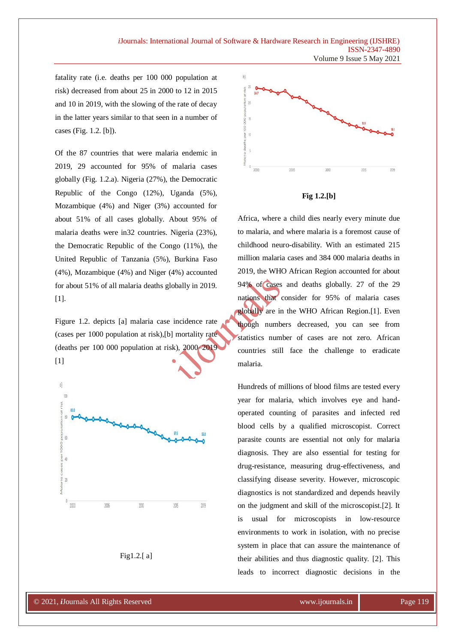fatality rate (i.e. deaths per 100 000 population at risk) decreased from about 25 in 2000 to 12 in 2015 and 10 in 2019, with the slowing of the rate of decay in the latter years similar to that seen in a number of cases (Fig. 1.2. [b]).

Of the 87 countries that were malaria endemic in 2019, 29 accounted for 95% of malaria cases globally (Fig. 1.2.a). Nigeria (27%), the Democratic Republic of the Congo (12%), Uganda (5%), Mozambique (4%) and Niger (3%) accounted for about 51% of all cases globally. About 95% of malaria deaths were in32 countries. Nigeria (23%), the Democratic Republic of the Congo (11%), the United Republic of Tanzania (5%), Burkina Faso (4%), Mozambique (4%) and Niger (4%) accounted for about 51% of all malaria deaths globally in 2019. [1].

Figure 1.2. depicts [a] malaria case incidence rate (cases per 1000 population at risk),[b] mortality rate (deaths per 100 000 population at risk), 2000–2019  $[1]$ 









Africa, where a child dies nearly every minute due to malaria, and where malaria is a foremost cause of childhood neuro-disability. With an estimated 215 million malaria cases and 384 000 malaria deaths in 2019, the WHO African Region accounted for about 94% of cases and deaths globally. 27 of the 29 nations that consider for 95% of malaria cases globally are in the WHO African Region.[1]. Even though numbers decreased, you can see from statistics number of cases are not zero. African countries still face the challenge to eradicate malaria.

Hundreds of millions of blood films are tested every year for malaria, which involves eye and handoperated counting of parasites and infected red blood cells by a qualified microscopist. Correct parasite counts are essential not only for malaria diagnosis. They are also essential for testing for drug-resistance, measuring drug-effectiveness, and classifying disease severity. However, microscopic diagnostics is not standardized and depends heavily on the judgment and skill of the microscopist.[2]. It is usual for microscopists in low-resource environments to work in isolation, with no precise system in place that can assure the maintenance of their abilities and thus diagnostic quality. [2]. This leads to incorrect diagnostic decisions in the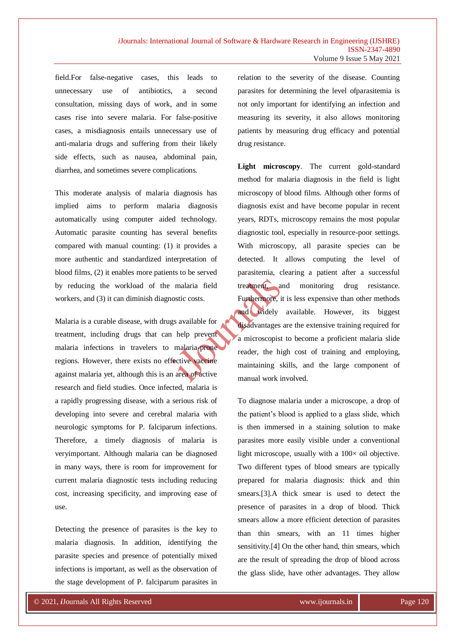field.For false-negative cases, this leads to unnecessary use of antibiotics, a second consultation, missing days of work, and in some cases rise into severe malaria. For false-positive cases, a misdiagnosis entails unnecessary use of anti-malaria drugs and suffering from their likely side effects, such as nausea, abdominal pain, diarrhea, and sometimes severe complications.

This moderate analysis of malaria diagnosis has implied aims to perform malaria diagnosis automatically using computer aided technology. Automatic parasite counting has several benefits compared with manual counting: (1) it provides a more authentic and standardized interpretation of blood films, (2) it enables more patients to be served by reducing the workload of the malaria field workers, and (3) it can diminish diagnostic costs.

Malaria is a curable disease, with drugs available for treatment, including drugs that can help prevent malaria infections in travelers to malaria-prone regions. However, there exists no effective vaccine against malaria yet, although this is an area of active research and field studies. Once infected, malaria is a rapidly progressing disease, with a serious risk of developing into severe and cerebral malaria with neurologic symptoms for P. falciparum infections. Therefore, a timely diagnosis of malaria is veryimportant. Although malaria can be diagnosed in many ways, there is room for improvement for current malaria diagnostic tests including reducing cost, increasing specificity, and improving ease of use.

Detecting the presence of parasites is the key to malaria diagnosis. In addition, identifying the parasite species and presence of potentially mixed infections is important, as well as the observation of the stage development of P. falciparum parasites in

relation to the severity of the disease. Counting parasites for determining the level ofparasitemia is not only important for identifying an infection and measuring its severity, it also allows monitoring patients by measuring drug efficacy and potential drug resistance.

**Light microscopy**. The current gold-standard method for malaria diagnosis in the field is light microscopy of blood films. Although other forms of diagnosis exist and have become popular in recent years, RDTs, microscopy remains the most popular diagnostic tool, especially in resource-poor settings. With microscopy, all parasite species can be detected. It allows computing the level of parasitemia, clearing a patient after a successful treatment, and monitoring drug resistance. Furthermore, it is less expensive than other methods and widely available. However, its biggest disadvantages are the extensive training required for a microscopist to become a proficient malaria slide reader, the high cost of training and employing, maintaining skills, and the large component of manual work involved.

To diagnose malaria under a microscope, a drop of the patient's blood is applied to a glass slide, which is then immersed in a staining solution to make parasites more easily visible under a conventional light microscope, usually with a  $100 \times$  oil objective. Two different types of blood smears are typically prepared for malaria diagnosis: thick and thin smears.[3].A thick smear is used to detect the presence of parasites in a drop of blood. Thick smears allow a more efficient detection of parasites than thin smears, with an 11 times higher sensitivity.[4] On the other hand, thin smears, which are the result of spreading the drop of blood across the glass slide, have other advantages. They allow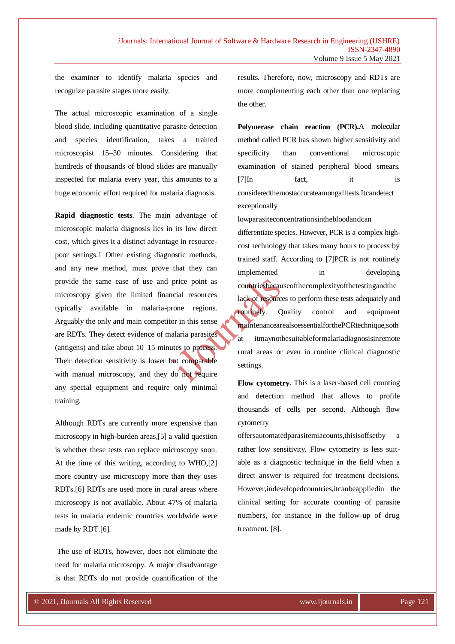the examiner to identify malaria species and recognize parasite stages more easily.

The actual microscopic examination of a single blood slide, including quantitative parasite detection and species identification, takes a trained microscopist 15–30 minutes. Considering that hundreds of thousands of blood slides are manually inspected for malaria every year, this amounts to a huge economic effort required for malaria diagnosis.

**Rapid diagnostic tests**. The main advantage of microscopic malaria diagnosis lies in its low direct cost, which gives it a distinct advantage in resourcepoor settings.1 Other existing diagnostic methods, and any new method, must prove that they can provide the same ease of use and price point as microscopy given the limited financial resources typically available in malaria-prone regions. Arguably the only and main competitor in this sense are RDTs. They detect evidence of malaria parasites (antigens) and take about 10–15 minutes to process. Their detection sensitivity is lower but comparable with manual microscopy, and they do not require any special equipment and require only minimal training.

Although RDTs are currently more expensive than microscopy in high-burden areas,[5] a valid question is whether these tests can replace microscopy soon. At the time of this writing, according to WHO,[2] more country use microscopy more than they uses RDTs.[6] RDTs are used more in rural areas where microscopy is not available. About 47% of malaria tests in malaria endemic countries worldwide were made by RDT.[6].

The use of RDTs, however, does not eliminate the need for malaria microscopy. A major disadvantage is that RDTs do not provide quantification of the results. Therefore, now, microscopy and RDTs are more complementing each other than one replacing the other.

**Polymerase chain reaction (PCR).**A molecular method called PCR has shown higher sensitivity and specificity than conventional microscopic examination of stained peripheral blood smears. [7]In fact, it is consideredthemostaccurateamongalltests.Itcandetect exceptionally

lowparasiteconcentrationsinthebloodandcan differentiate species. However, PCR is a complex highcost technology that takes many hours to process by trained staff. According to [7]PCR is not routinely implemented in developing countriesbecauseofthecomplexityofthetestingandthe lack of resources to perform these tests adequately and routinely. Quality control and equipment maintenancearealsoessentialforthePCRtechnique,soth at itmaynotbesuitableformalariadiagnosisinremote rural areas or even in routine clinical diagnostic settings.

**Flow cytometry**. This is a laser-based cell counting and detection method that allows to profile thousands of cells per second. Although flow cytometry

offersautomatedparasitemiacounts,thisisoffsetby a rather low sensitivity. Flow cytometry is less suitable as a diagnostic technique in the field when a direct answer is required for treatment decisions. However,indevelopedcountries,itcanbeappliedin the clinical setting for accurate counting of parasite numbers, for instance in the follow-up of drug treatment. [8].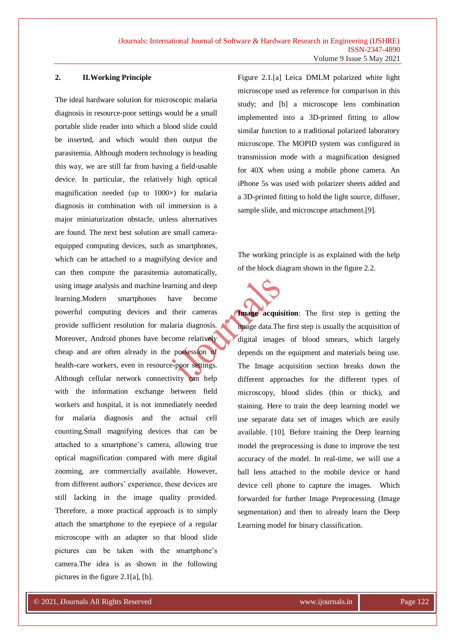# **2. II.Working Principle**

The ideal hardware solution for microscopic malaria diagnosis in resource-poor settings would be a small portable slide reader into which a blood slide could be inserted, and which would then output the parasitemia. Although modern technology is heading this way, we are still far from having a field-usable device. In particular, the relatively high optical magnification needed (up to 1000×) for malaria diagnosis in combination with oil immersion is a major miniaturization obstacle, unless alternatives are found. The next best solution are small cameraequipped computing devices, such as smartphones, which can be attached to a magnifying device and can then compute the parasitemia automatically, using image analysis and machine learning and deep learning.Modern smartphones have become powerful computing devices and their cameras provide sufficient resolution for malaria diagnosis. Moreover, Android phones have become relatively cheap and are often already in the possession of health-care workers, even in resource-poor settings. Although cellular network connectivity can help with the information exchange between field workers and hospital, it is not immediately needed for malaria diagnosis and the actual cell counting.Small magnifying devices that can be attached to a smartphone's camera, allowing true optical magnification compared with mere digital zooming, are commercially available. However, from different authors' experience, these devices are still lacking in the image quality provided. Therefore, a more practical approach is to simply attach the smartphone to the eyepiece of a regular microscope with an adapter so that blood slide pictures can be taken with the smartphone's camera.The idea is as shown in the following pictures in the figure 2.1[a], [b].

Figure 2.1.[a] Leica DMLM polarized white light microscope used as reference for comparison in this study; and [b] a microscope lens combination implemented into a 3D-printed fitting to allow similar function to a traditional polarized laboratory microscope. The MOPID system was configured in transmission mode with a magnification designed for 40X when using a mobile phone camera. An iPhone 5s was used with polarizer sheets added and a 3D-printed fitting to hold the light source, diffuser, sample slide, and microscope attachment.[9].

The working principle is as explained with the help of the block diagram shown in the figure 2.2.

**Image acquisition**: The first step is getting the image data.The first step is usually the acquisition of digital images of blood smears, which largely depends on the equipment and materials being use. The Image acquisition section breaks down the different approaches for the different types of microscopy, blood slides (thin or thick), and staining. Here to train the deep learning model we use separate data set of images which are easily available. [10]. Before training the Deep learning model the preprocessing is done to improve the test accuracy of the model. In real-time, we will use a ball lens attached to the mobile device or hand device cell phone to capture the images. Which forwarded for further Image Preprocessing (Image segmentation) and then to already learn the Deep Learning model for binary classification.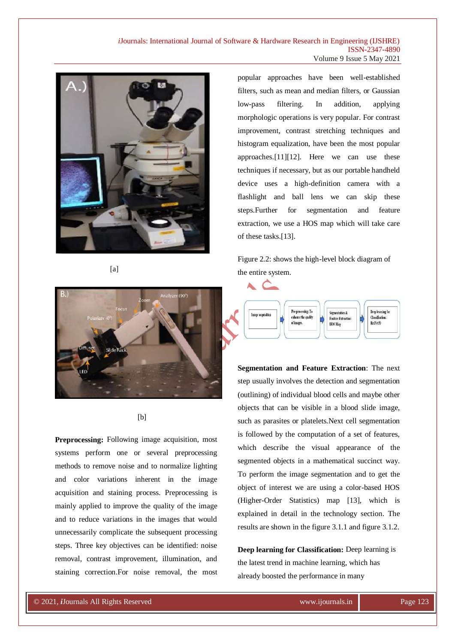

[a]



[b]

**Preprocessing:** Following image acquisition, most systems perform one or several preprocessing methods to remove noise and to normalize lighting and color variations inherent in the image acquisition and staining process. Preprocessing is mainly applied to improve the quality of the image and to reduce variations in the images that would unnecessarily complicate the subsequent processing steps. Three key objectives can be identified: noise removal, contrast improvement, illumination, and staining correction.For noise removal, the most

popular approaches have been well-established filters, such as mean and median filters, or Gaussian low-pass filtering. In addition, applying morphologic operations is very popular. For contrast improvement, contrast stretching techniques and histogram equalization, have been the most popular approaches.[11][12]. Here we can use these techniques if necessary, but as our portable handheld device uses a high-definition camera with a flashlight and ball lens we can skip these steps.Further for segmentation and feature extraction, we use a HOS map which will take care of these tasks.[13].

Figure 2.2: shows the high-level block diagram of the entire system.



**Segmentation and Feature Extraction**: The next step usually involves the detection and segmentation (outlining) of individual blood cells and maybe other objects that can be visible in a blood slide image, such as parasites or platelets.Next cell segmentation is followed by the computation of a set of features, which describe the visual appearance of the segmented objects in a mathematical succinct way. To perform the image segmentation and to get the object of interest we are using a color-based HOS (Higher-Order Statistics) map [13], which is explained in detail in the technology section. The results are shown in the figure 3.1.1 and figure 3.1.2.

**Deep learning for Classification:** Deep learning is the latest trend in machine learning, which has already boosted the performance in many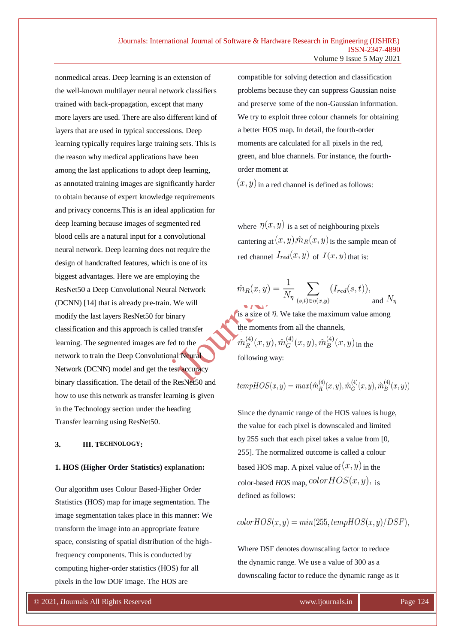nonmedical areas. Deep learning is an extension of the well-known multilayer neural network classifiers trained with back-propagation, except that many more layers are used. There are also different kind of layers that are used in typical successions. Deep learning typically requires large training sets. This is the reason why medical applications have been among the last applications to adopt deep learning, as annotated training images are significantly harder to obtain because of expert knowledge requirements and privacy concerns.This is an ideal application for deep learning because images of segmented red blood cells are a natural input for a convolutional neural network. Deep learning does not require the design of handcrafted features, which is one of its biggest advantages. Here we are employing the ResNet50 a Deep Convolutional Neural Network (DCNN) [14] that is already pre-train. We will modify the last layers ResNet50 for binary classification and this approach is called transfer learning. The segmented images are fed to the network to train the Deep Convolutional Neural Network (DCNN) model and get the test accuracy binary classification. The detail of the ResNet50 and how to use this network as transfer learning is given in the Technology section under the heading Transfer learning using ResNet50.

#### **3. III. TECHNOLOGY:**

#### **1. HOS (Higher Order Statistics) explanation:**

Our algorithm uses Colour Based-Higher Order Statistics (HOS) map for image segmentation. The image segmentation takes place in this manner: We transform the image into an appropriate feature space, consisting of spatial distribution of the highfrequency components. This is conducted by computing higher-order statistics (HOS) for all pixels in the low DOF image. The HOS are

compatible for solving detection and classification problems because they can suppress Gaussian noise and preserve some of the non-Gaussian information. We try to exploit three colour channels for obtaining a better HOS map. In detail, the fourth-order moments are calculated for all pixels in the red, green, and blue channels. For instance, the fourthorder moment at

 $(x, y)$  in a red channel is defined as follows:

where  $\eta(x, y)$  is a set of neighbouring pixels canteringat  $(x, y)$ ,  $\hat{m}_R(x, y)$  is the sample mean of red channel  $I_{red}(x, y)$  of  $I(x, y)$  that is:

$$
\hat{m}_R(x, y) = \frac{1}{N_\eta} \sum_{(s, t) \in \eta(x, y)} (I_{red}(s, t)),
$$
 and  $N_\eta$ 

is a size of  $\eta$ [.](https://www.codecogs.com/eqnedit.php?latex=\eta) We take the maximum value among the moments from all the channels,  $\hat{m}_B^{(4)}(x, y), \hat{m}_G^{(4)}(x, y), \hat{m}_B^{(4)}(x, y)$  in the following way:

$$
tempHOS(x, y) = max(\hat{m}_R^{(4)}(x, y), \hat{m}_G^{(4)}(x, y), \hat{m}_B^{(4)}(x, y))
$$

Since the dynamic range of the HOS values is huge, the value for each pixel is downscaled and limited by 255 such that each pixel takes a value from [0, 255]. The normalized outcome is called a colour based HOS map. A pixel value of  $(x, y)$  in the color-based*HOS* map,  $colorHOS(x, y)$ , is defined as follows:

$$
colorHOS(x, y) = min(255, tempHOS(x, y)/DSF),
$$

Where DSF denotes downscaling factor to reduce the dynamic range. We use a value of 300 as a downscaling factor to reduce the dynamic range as it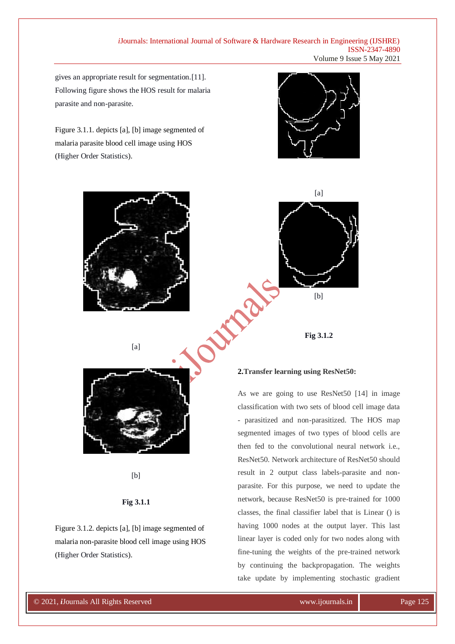gives an appropriate result for segmentation.[11]. Following figure shows the HOS result for malaria parasite and non-parasite.

Figure 3.1.1. depicts [a], [b] image segmented of malaria parasite blood cell image using HOS (Higher Order Statistics).







 $[b]$ 

**Fig 3.1.1**

Figure 3.1.2. depicts [a], [b] image segmented of malaria non-parasite blood cell image using HOS (Higher Order Statistics).

#### **2.Transfer learning using ResNet50:**

As we are going to use ResNet50 [14] in image classification with two sets of blood cell image data - parasitized and non-parasitized. The HOS map segmented images of two types of blood cells are then fed to the convolutional neural network i.e., ResNet50. Network architecture of ResNet50 should result in 2 output class labels-parasite and nonparasite. For this purpose, we need to update the network, because ResNet50 is pre-trained for 1000 classes, the final classifier label that is Linear () is having 1000 nodes at the output layer. This last linear layer is coded only for two nodes along with fine-tuning the weights of the pre-trained network by continuing the backpropagation. The weights take update by implementing stochastic gradient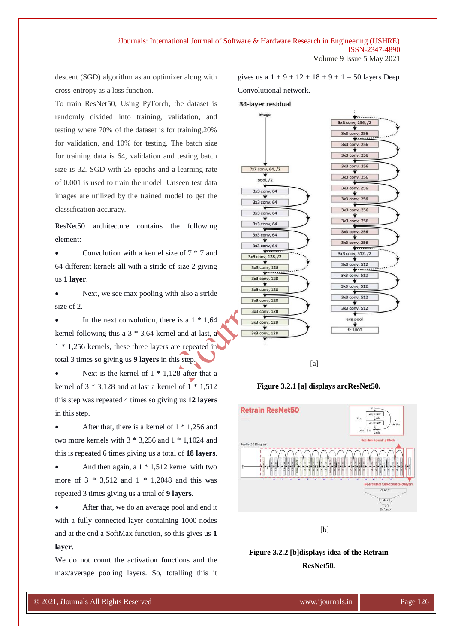descent (SGD) algorithm as an optimizer along with cross-entropy as a loss function.

To train ResNet50, Using PyTorch, the dataset is randomly divided into training, validation, and testing where 70% of the dataset is for training,20% for validation, and 10% for testing. The batch size for training data is 64, validation and testing batch size is 32. SGD with 25 epochs and a learning rate of 0.001 is used to train the model. Unseen test data images are utilized by the trained model to get the classification accuracy.

ResNet50 architecture contains the following element:

 Convolution with a kernel size of 7 \* 7 and 64 different kernels all with a stride of size 2 giving us **1 layer**.

 Next, we see max pooling with also a stride size of 2.

In the next convolution, there is a  $1 * 1,64$ kernel following this a  $3 * 3,64$  kernel and at last, a 1 \* 1,256 kernels, these three layers are repeated in total 3 times so giving us **9 layers** in this step.

Next is the kernel of  $1 * 1.128$  after that a kernel of  $3 * 3,128$  and at last a kernel of  $1 * 1,512$ this step was repeated 4 times so giving us **12 layers** in this step.

 After that, there is a kernel of 1 \* 1,256 and two more kernels with 3 \* 3,256 and 1 \* 1,1024 and this is repeated 6 times giving us a total of **18 layers**.

 And then again, a 1 \* 1,512 kernel with two more of 3 \* 3,512 and 1 \* 1,2048 and this was repeated 3 times giving us a total of **9 layers**.

 After that, we do an average pool and end it with a fully connected layer containing 1000 nodes and at the end a SoftMax function, so this gives us **1 layer**.

We do not count the activation functions and the max/average pooling layers. So, totalling this it gives us a  $1 + 9 + 12 + 18 + 9 + 1 = 50$  layers Deep

Convolutional network.

34-layer residual



[a]





[b]

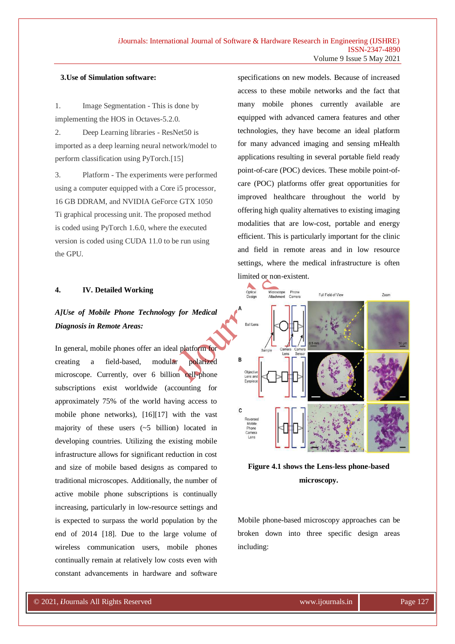# **3.Use of Simulation software:**

1. Image Segmentation - This is done by implementing the HOS in Octaves-5.2.0.

2. Deep Learning libraries - ResNet50 is imported as a deep learning neural network/model to perform classification using PyTorch.[15]

3. Platform - The experiments were performed using a computer equipped with a Core i5 processor, 16 GB DDRAM, and NVIDIA GeForce GTX 1050 Ti graphical processing unit. The proposed method is coded using PyTorch 1.6.0, where the executed version is coded using CUDA 11.0 to be run using the GPU.

# **4. IV. Detailed Working**

# *A]Use of Mobile Phone Technology for Medical Diagnosis in Remote Areas:*

In general, mobile phones offer an ideal platform for creating a field-based, modular polarized microscope. Currently, over 6 billion cell-phone subscriptions exist worldwide (accounting for approximately 75% of the world having access to mobile phone networks), [16][17] with the vast majority of these users (~5 billion) located in developing countries. Utilizing the existing mobile infrastructure allows for significant reduction in cost and size of mobile based designs as compared to traditional microscopes. Additionally, the number of active mobile phone subscriptions is continually increasing, particularly in low-resource settings and is expected to surpass the world population by the end of 2014 [18]. Due to the large volume of wireless communication users, mobile phones continually remain at relatively low costs even with constant advancements in hardware and software

specifications on new models. Because of increased access to these mobile networks and the fact that many mobile phones currently available are equipped with advanced camera features and other technologies, they have become an ideal platform for many advanced imaging and sensing mHealth applications resulting in several portable field ready point-of-care (POC) devices. These mobile point-ofcare (POC) platforms offer great opportunities for improved healthcare throughout the world by offering high quality alternatives to existing imaging modalities that are low-cost, portable and energy efficient. This is particularly important for the clinic and field in remote areas and in low resource settings, where the medical infrastructure is often limited or non-existent.



**Figure 4.1 shows the Lens-less phone-based microscopy.**

Mobile phone-based microscopy approaches can be broken down into three specific design areas including: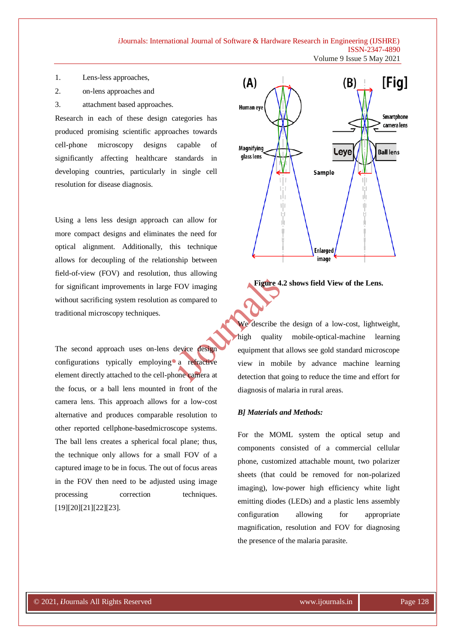- 1. Lens-less approaches,
- 2. on-lens approaches and
- 3. attachment based approaches.

Research in each of these design categories has produced promising scientific approaches towards cell-phone microscopy designs capable of significantly affecting healthcare standards in developing countries, particularly in single cell resolution for disease diagnosis.

Using a lens less design approach can allow for more compact designs and eliminates the need for optical alignment. Additionally, this technique allows for decoupling of the relationship between field-of-view (FOV) and resolution, thus allowing for significant improvements in large FOV imaging without sacrificing system resolution as compared to traditional microscopy techniques.

The second approach uses on-lens device design configurations typically employing a refractive element directly attached to the cell-phone camera at the focus, or a ball lens mounted in front of the camera lens. This approach allows for a low-cost alternative and produces comparable resolution to other reported cellphone-basedmicroscope systems. The ball lens creates a spherical focal plane; thus, the technique only allows for a small FOV of a captured image to be in focus. The out of focus areas in the FOV then need to be adjusted using image processing correction techniques. [19][20][21][22][23].





We describe the design of a low-cost, lightweight, high quality mobile-optical-machine learning equipment that allows see gold standard microscope view in mobile by advance machine learning detection that going to reduce the time and effort for diagnosis of malaria in rural areas.

#### *B] Materials and Methods:*

For the MOML system the optical setup and components consisted of a commercial cellular phone, customized attachable mount, two polarizer sheets (that could be removed for non-polarized imaging), low-power high efficiency white light emitting diodes (LEDs) and a plastic lens assembly configuration allowing for appropriate magnification, resolution and FOV for diagnosing the presence of the malaria parasite.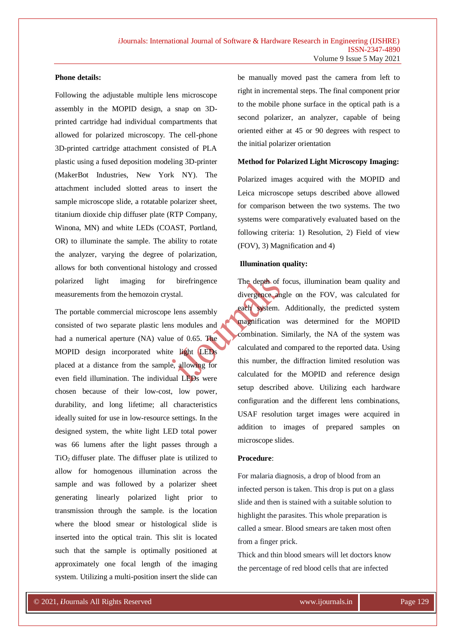#### **Phone details:**

Following the adjustable multiple lens microscope assembly in the MOPID design, a snap on 3Dprinted cartridge had individual compartments that allowed for polarized microscopy. The cell-phone 3D-printed cartridge attachment consisted of PLA plastic using a fused deposition modeling 3D-printer (MakerBot Industries, New York NY). The attachment included slotted areas to insert the sample microscope slide, a rotatable polarizer sheet, titanium dioxide chip diffuser plate (RTP Company, Winona, MN) and white LEDs (COAST, Portland, OR) to illuminate the sample. The ability to rotate the analyzer, varying the degree of polarization, allows for both conventional histology and crossed polarized light imaging for birefringence measurements from the hemozoin crystal.

The portable commercial microscope lens assembly consisted of two separate plastic lens modules and had a numerical aperture (NA) value of 0.65. The MOPID design incorporated white light LEDs placed at a distance from the sample, allowing for even field illumination. The individual LEDs were chosen because of their low-cost, low power, durability, and long lifetime; all characteristics ideally suited for use in low-resource settings. In the designed system, the white light LED total power was 66 lumens after the light passes through a TiO<sup>2</sup> diffuser plate. The diffuser plate is utilized to allow for homogenous illumination across the sample and was followed by a polarizer sheet generating linearly polarized light prior to transmission through the sample. is the location where the blood smear or histological slide is inserted into the optical train. This slit is located such that the sample is optimally positioned at approximately one focal length of the imaging system. Utilizing a multi-position insert the slide can

be manually moved past the camera from left to right in incremental steps. The final component prior to the mobile phone surface in the optical path is a second polarizer, an analyzer, capable of being oriented either at 45 or 90 degrees with respect to the initial polarizer orientation

#### **Method for Polarized Light Microscopy Imaging:**

Polarized images acquired with the MOPID and Leica microscope setups described above allowed for comparison between the two systems. The two systems were comparatively evaluated based on the following criteria: 1) Resolution, 2) Field of view (FOV), 3) Magnification and 4)

#### **Illumination quality:**

The depth of focus, illumination beam quality and divergence angle on the FOV, was calculated for each system. Additionally, the predicted system magnification was determined for the MOPID combination. Similarly, the NA of the system was calculated and compared to the reported data. Using this number, the diffraction limited resolution was calculated for the MOPID and reference design setup described above. Utilizing each hardware configuration and the different lens combinations, USAF resolution target images were acquired in addition to images of prepared samples on microscope slides.

#### **Procedure**:

For malaria diagnosis, a drop of blood from an infected person is taken. This drop is put on a glass slide and then is stained with a suitable solution to highlight the parasites. This whole preparation is called a smear. Blood smears are taken most often from a finger prick.

Thick and thin blood smears will let doctors know the percentage of red blood cells that are infected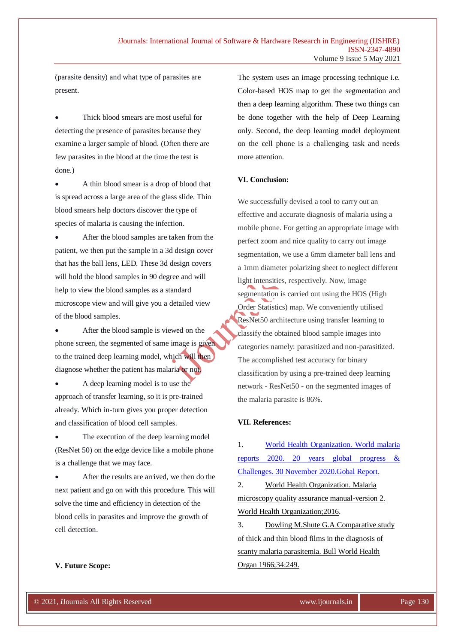(parasite density) and what type of parasites are present.

 Thick blood smears are most useful for detecting the presence of parasites because they examine a larger sample of blood. (Often there are few parasites in the blood at the time the test is done.)

 A thin blood smear is a drop of blood that is spread across a large area of the glass slide. Thin blood smears help doctors discover the type of species of malaria is causing the infection.

 After the blood samples are taken from the patient, we then put the sample in a 3d design cover that has the ball lens, LED. These 3d design covers will hold the blood samples in 90 degree and will help to view the blood samples as a standard microscope view and will give you a detailed view of the blood samples.

 After the blood sample is viewed on the phone screen, the segmented of same image is given to the trained deep learning model, which will then diagnose whether the patient has malaria or not.

 A deep learning model is to use the approach of transfer learning, so it is pre-trained already. Which in-turn gives you proper detection and classification of blood cell samples.

 The execution of the deep learning model (ResNet 50) on the edge device like a mobile phone is a challenge that we may face.

 After the results are arrived, we then do the next patient and go on with this procedure. This will solve the time and efficiency in detection of the blood cells in parasites and improve the growth of cell detection.

**V. Future Scope:**

The system uses an image processing technique i.e. Color-based HOS map to get the segmentation and then a deep learning algorithm. These two things can be done together with the help of Deep Learning only. Second, the deep learning model deployment on the cell phone is a challenging task and needs more attention.

#### **VI. Conclusion:**

We successfully devised a tool to carry out an effective and accurate diagnosis of malaria using a mobile phone. For getting an appropriate image with perfect zoom and nice quality to carry out image segmentation, we use a 6mm diameter ball lens and a 1mm diameter polarizing sheet to neglect different light intensities, respectively. Now, image segmentation is carried out using the HOS (High Order Statistics) map. We conveniently utilised ResNet50 architecture using transfer learning to classify the obtained blood sample images into categories namely: parasitized and non-parasitized. The accomplished test accuracy for binary classification by using a pre-trained deep learning network - ResNet50 - on the segmented images of the malaria parasite is 86%.

#### **VII. References:**

1. [World Health Organization. World](https://www.who.int/publications/i/item/9789240015791) malaria [reports 2020. 20 years global progress &](https://www.who.int/publications/i/item/9789240015791)  [Challenges. 30 November 2020.Gobal Report.](https://www.who.int/publications/i/item/9789240015791) 

2. [World Health Organization. Malaria](https://books.google.co.in/books?hl=en&lr=&id=ZA4LDgAAQBAJ&oi=fnd&pg=PR7&ots=_e2qgv-nWF&sig=GhhCiS8lSsK4bDwO5DVFh5pnXPY&redir_esc=y#v=onepage&q&f=false)  microscopy quality assurance manual-version 2. [World Health Organization;2016.](https://books.google.co.in/books?hl=en&lr=&id=ZA4LDgAAQBAJ&oi=fnd&pg=PR7&ots=_e2qgv-nWF&sig=GhhCiS8lSsK4bDwO5DVFh5pnXPY&redir_esc=y#v=onepage&q&f=false)

3. [Dowling M.Shute G.A Comparative study](https://www.scopus.com/home.uri)  [of thick and thin blood films in the diagnosis of](https://www.scopus.com/home.uri)  [scanty malaria parasitemia. Bull World Health](https://www.scopus.com/home.uri)  [Organ 1966;34:249.](https://www.scopus.com/home.uri)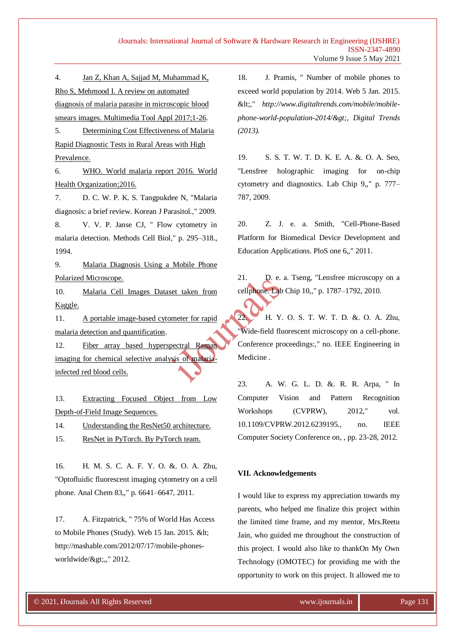4. Jan Z, Khan A, Sajjad M, Muhammad K, [Rho S, Mehmood I. A review on automated](https://www.scopus.com/home.uri)  [diagnosis of malaria parasite in microscopic blood](https://www.scopus.com/home.uri)  [smears images. Multimedia Tool Appl 2017;1-26.](https://www.scopus.com/home.uri)

5. [Determining Cost Effectiveness of Malaria](https://scholar.google.com/scholar?cluster=13783998567319574233&hl=en&as_sdt=2005&sciodt=0,5)  [Rapid Diagnostic Tests in Rural Areas with High](https://scholar.google.com/scholar?cluster=13783998567319574233&hl=en&as_sdt=2005&sciodt=0,5)  [Prevalence.](https://scholar.google.com/scholar?cluster=13783998567319574233&hl=en&as_sdt=2005&sciodt=0,5)

6. [WHO. World malaria report 2016. World](https://www.who.int/malaria/publications/world-malaria-report-2016/report/en/)  [Health Organization;2016.](https://www.who.int/malaria/publications/world-malaria-report-2016/report/en/)

7. D. C. W. P. K. S. Tangpukdee N, "Malaria diagnosis: a brief review. Korean J Parasitol.," 2009. 8. V. V. P. Janse CJ, " Flow cytometry in

malaria detection. Methods Cell Biol," p. 295–318., 1994.

9. [Malaria Diagnosis Using a Mobile Phone](https://www.nature.com/srep/)  [Polarized Microscope.](https://www.nature.com/srep/)

10. [Malaria Cell Images Dataset taken from](https://www.kaggle.com/iarunava/cell-images-for-detecting-malaria)  [Kaggle.](https://www.kaggle.com/iarunava/cell-images-for-detecting-malaria)

11. [A portable image-based cytometer for rapid](https://journals.plos.org/plosone/article?id=10.1371/journal.pone.0179161)  [malaria detection and quantification.](https://journals.plos.org/plosone/article?id=10.1371/journal.pone.0179161)

12. [Fiber array based hyperspectral Raman](https://www.sciencedirect.com/science/article/abs/pii/S000326701501003X)  [imaging for chemical selective analysis of malaria](https://www.sciencedirect.com/science/article/abs/pii/S000326701501003X)[infected red blood cells.](https://www.sciencedirect.com/science/article/abs/pii/S000326701501003X)

13. [Extracting Focused Object from Low](https://ui.adsabs.harvard.edu/abs/2006SPIE.6077E..1OP/abstract)  [Depth-of-Field Image Sequences.](https://ui.adsabs.harvard.edu/abs/2006SPIE.6077E..1OP/abstract)

14. [Understanding the ResNet50 architecture.](https://iq.opengenus.org/resnet50-architecture/#:~:text=ResNet50%20is%20a%20variant%20of,explored%20ResNet50%20architecture%20in%20depth.)

15. [ResNet in PyTorch. By PyTorch team.](https://pytorch.org/hub/pytorch_vision_resnet/)

16. H. M. S. C. A. F. Y. O. &. O. A. Zhu, "Optofluidic fluorescent imaging cytometry on a cell phone. Anal Chem 83,," p. 6641–6647, 2011.

17. A. Fitzpatrick, " 75% of World Has Access to Mobile Phones (Study). Web 15 Jan. 2015. &It: http://mashable.com/2012/07/17/mobile-phonesworldwide/>,," 2012.

18. J. Pramis, " Number of mobile phones to exceed world population by 2014. Web 5 Jan. 2015.  $<$ lt;," http://www.digitaltrends.com/mobile/mobile*phone-world-population-2014/>, Digital Trends (2013).*

19. S. S. T. W. T. D. K. E. A. &. O. A. Seo, "Lensfree holographic imaging for on-chip cytometry and diagnostics. Lab Chip 9,," p. 777– 787, 2009.

20. Z. J. e. a. Smith, "Cell-Phone-Based Platform for Biomedical Device Development and Education Applications. PloS one 6,," 2011.

21. D. e. a. Tseng, "Lensfree microscopy on a cellphone. Lab Chip 10,," p. 1787–1792, 2010.

22. H. Y. O. S. T. W. T. D. &. O. A. Zhu, "Wide-field fluorescent microscopy on a cell-phone. Conference proceedings:," no. IEEE Engineering in Medicine .

23. A. W. G. L. D. &. R. R. Arpa, " In Computer Vision and Pattern Recognition Workshops (CVPRW), 2012," vol. 10.1109/CVPRW.2012.6239195., no. IEEE Computer Society Conference on, , pp. 23-28, 2012.

# **VII. Acknowledgements**

I would like to express my appreciation towards my parents, who helped me finalize this project within the limited time frame, and my mentor, Mrs.Reetu Jain, who guided me throughout the construction of this project. I would also like to thankOn My Own Technology (OMOTEC) for providing me with the opportunity to work on this project. It allowed me to